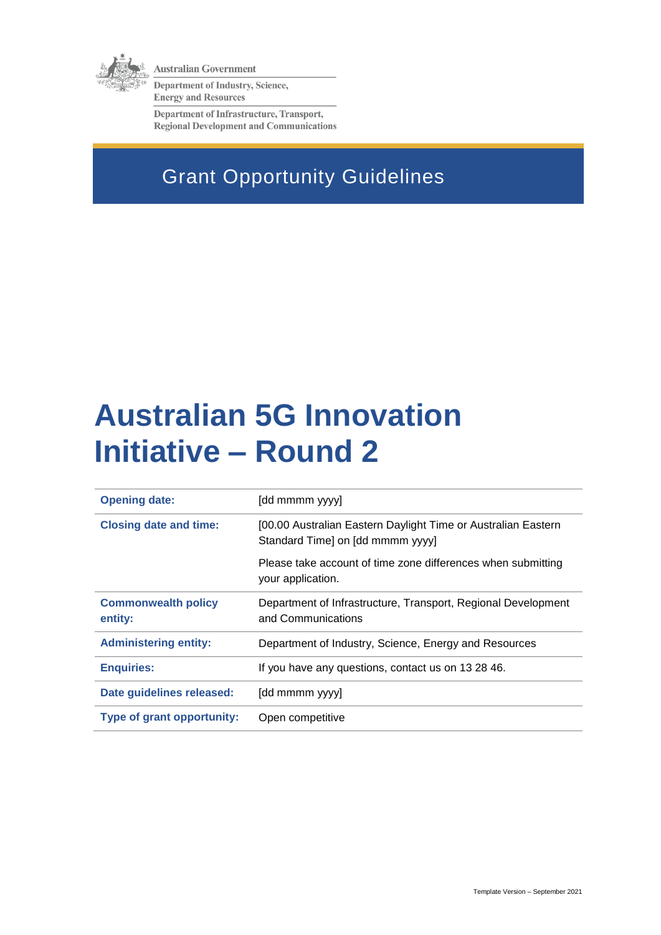

**Australian Government** 

Department of Industry, Science, **Energy and Resources** 

Department of Infrastructure, Transport, **Regional Development and Communications** 

# Grant Opportunity Guidelines

# **Australian 5G Innovation Initiative – Round 2**

| <b>Opening date:</b><br>[dd mmmm yyyy]                                                |                                                                                                   |  |  |
|---------------------------------------------------------------------------------------|---------------------------------------------------------------------------------------------------|--|--|
| <b>Closing date and time:</b>                                                         | [00.00 Australian Eastern Daylight Time or Australian Eastern<br>Standard Time] on [dd mmmm yyyy] |  |  |
|                                                                                       | Please take account of time zone differences when submitting<br>your application.                 |  |  |
| <b>Commonwealth policy</b><br>entity:                                                 | Department of Infrastructure, Transport, Regional Development<br>and Communications               |  |  |
| <b>Administering entity:</b><br>Department of Industry, Science, Energy and Resources |                                                                                                   |  |  |
| <b>Enquiries:</b>                                                                     | If you have any questions, contact us on 13 28 46.                                                |  |  |
| Date guidelines released:                                                             | [dd mmmm yyyy]                                                                                    |  |  |
| Type of grant opportunity:<br>Open competitive                                        |                                                                                                   |  |  |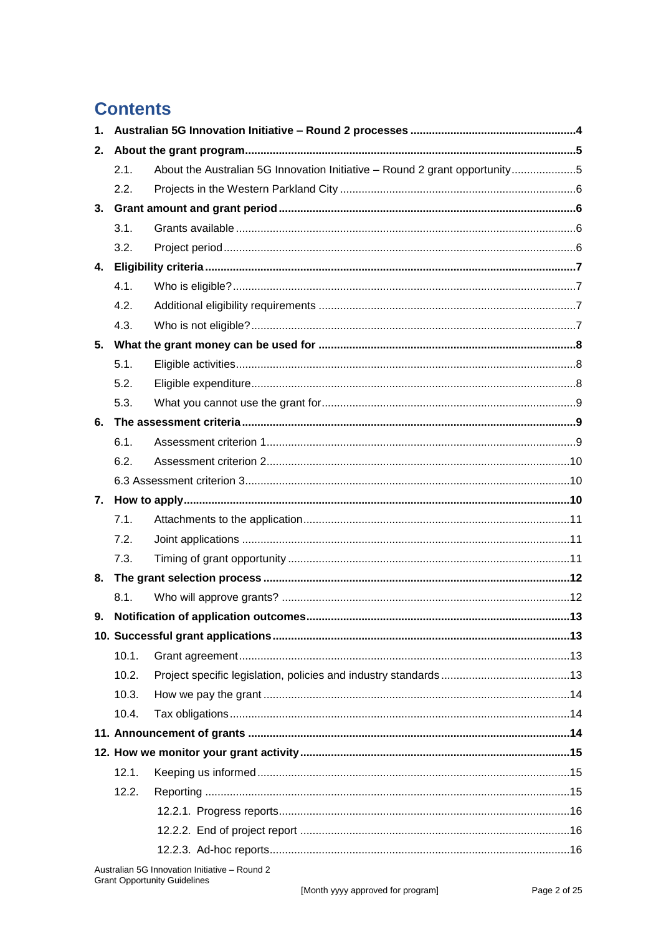# **Contents**

| $1_{-}$ |       |                                                                            |  |  |
|---------|-------|----------------------------------------------------------------------------|--|--|
| 2.      |       |                                                                            |  |  |
|         | 2.1.  | About the Australian 5G Innovation Initiative - Round 2 grant opportunity5 |  |  |
|         | 2.2.  |                                                                            |  |  |
| 3.      |       |                                                                            |  |  |
|         | 3.1.  |                                                                            |  |  |
|         | 3.2.  |                                                                            |  |  |
| 4.      |       |                                                                            |  |  |
|         | 4.1.  |                                                                            |  |  |
|         | 4.2.  |                                                                            |  |  |
|         | 4.3.  |                                                                            |  |  |
| 5.      |       |                                                                            |  |  |
|         | 5.1.  |                                                                            |  |  |
|         | 5.2.  |                                                                            |  |  |
|         | 5.3.  |                                                                            |  |  |
| 6.      |       |                                                                            |  |  |
|         | 6.1.  |                                                                            |  |  |
|         | 6.2.  |                                                                            |  |  |
|         |       |                                                                            |  |  |
| 7.      |       |                                                                            |  |  |
|         | 7.1.  |                                                                            |  |  |
|         | 7.2.  |                                                                            |  |  |
|         | 7.3.  |                                                                            |  |  |
| 8.      |       |                                                                            |  |  |
|         | 8.1.  |                                                                            |  |  |
| 9.      |       |                                                                            |  |  |
|         |       |                                                                            |  |  |
|         | 10.1. |                                                                            |  |  |
|         | 10.2. |                                                                            |  |  |
|         | 10.3. |                                                                            |  |  |
|         | 10.4. |                                                                            |  |  |
|         |       |                                                                            |  |  |
|         |       |                                                                            |  |  |
|         | 12.1. |                                                                            |  |  |
|         | 12.2. |                                                                            |  |  |
|         |       |                                                                            |  |  |
|         |       |                                                                            |  |  |
|         |       |                                                                            |  |  |
|         |       |                                                                            |  |  |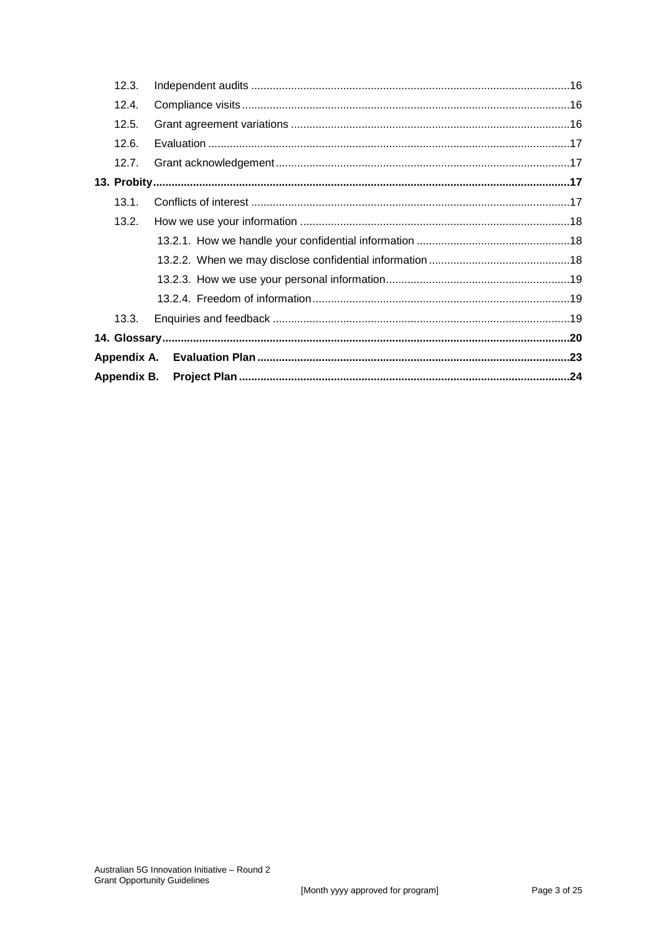| 13.3. |  |  |  |  |
|-------|--|--|--|--|
|       |  |  |  |  |
|       |  |  |  |  |
|       |  |  |  |  |
|       |  |  |  |  |
| 13.2. |  |  |  |  |
| 13.1. |  |  |  |  |
|       |  |  |  |  |
| 12.7. |  |  |  |  |
| 12.6. |  |  |  |  |
| 12.5. |  |  |  |  |
| 12.4. |  |  |  |  |
| 12.3. |  |  |  |  |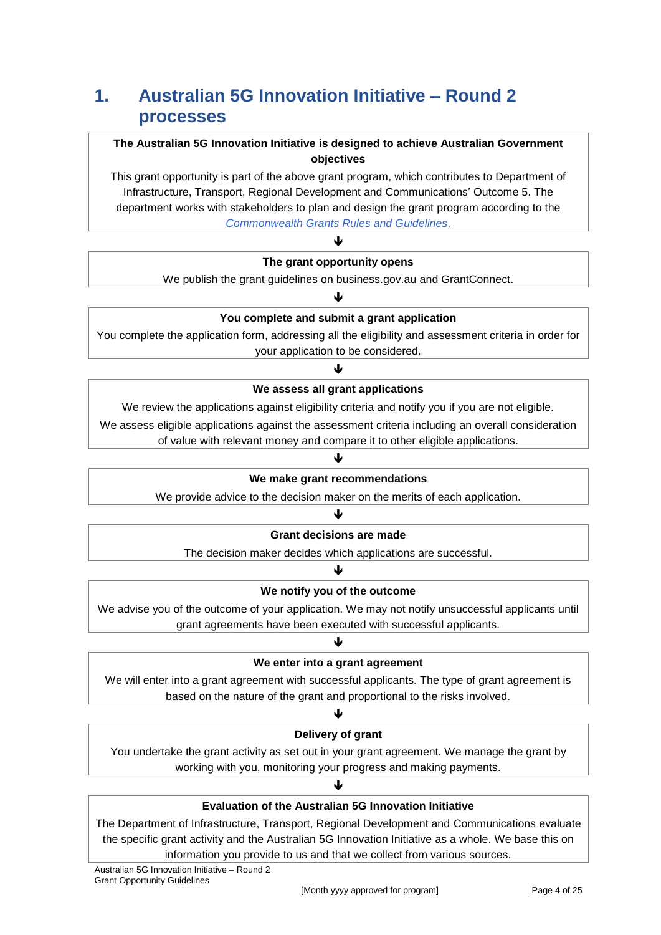# **1. Australian 5G Innovation Initiative – Round 2 processes**

### **The Australian 5G Innovation Initiative is designed to achieve Australian Government objectives**

This grant opportunity is part of the above grant program, which contributes to Department of Infrastructure, Transport, Regional Development and Communications' Outcome 5. The department works with stakeholders to plan and design the grant program according to the *[Commonwealth Grants Rules and Guidelines](https://www.finance.gov.au/government/commonwealth-grants/commonwealth-grants-rules-guidelines)*.

### $\blacktriangledown$ **The grant opportunity opens**

We publish the grant guidelines on business.gov.au and GrantConnect. ↓

# **You complete and submit a grant application**

You complete the application form, addressing all the eligibility and assessment criteria in order for your application to be considered.

# J **We assess all grant applications**

We review the applications against eligibility criteria and notify you if you are not eligible.

We assess eligible applications against the assessment criteria including an overall consideration

of value with relevant money and compare it to other eligible applications.

# ↓

#### **We make grant recommendations**

We provide advice to the decision maker on the merits of each application.

#### ♥

#### **Grant decisions are made**

The decision maker decides which applications are successful. ↓

# **We notify you of the outcome**

We advise you of the outcome of your application. We may not notify unsuccessful applicants until grant agreements have been executed with successful applicants.

# J **We enter into a grant agreement**

We will enter into a grant agreement with successful applicants. The type of grant agreement is based on the nature of the grant and proportional to the risks involved.

### ↓

### **Delivery of grant**

You undertake the grant activity as set out in your grant agreement. We manage the grant by working with you, monitoring your progress and making payments.

# ♦ **Evaluation of the Australian 5G Innovation Initiative**

The Department of Infrastructure, Transport, Regional Development and Communications evaluate the specific grant activity and the Australian 5G Innovation Initiative as a whole. We base this on information you provide to us and that we collect from various sources.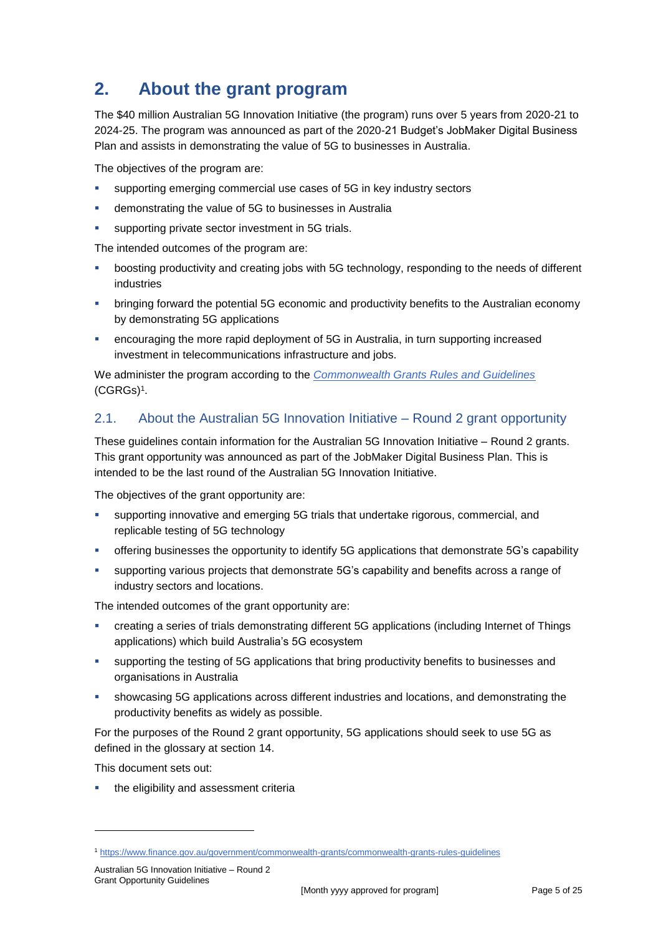# **2. About the grant program**

The \$40 million Australian 5G Innovation Initiative (the program) runs over 5 years from 2020-21 to 2024-25. The program was announced as part of the 2020-21 Budget's JobMaker Digital Business Plan and assists in demonstrating the value of 5G to businesses in Australia.

The objectives of the program are:

- supporting emerging commercial use cases of 5G in key industry sectors
- demonstrating the value of 5G to businesses in Australia
- supporting private sector investment in 5G trials.

The intended outcomes of the program are:

- boosting productivity and creating jobs with 5G technology, responding to the needs of different industries
- **EXED FIGHTS INTERT FOR THE POTENT FOR FIGHTS IN THE POST AND FIGHTS IN STARK IS CONCILLED FIGHTS IN THE PORT OF STARK IS AND** FIGHTS In pring in pring in pring in productivity benefits to the Australian economy by demonstrating 5G applications
- encouraging the more rapid deployment of 5G in Australia, in turn supporting increased investment in telecommunications infrastructure and jobs.

We administer the program according to the *[Commonwealth Grants Rules and Guidelines](https://www.finance.gov.au/government/commonwealth-grants/commonwealth-grants-rules-guidelines)* [\(CGRGs\)](https://www.finance.gov.au/government/commonwealth-grants/commonwealth-grants-rules-guidelines)<sup>1</sup> .

# 2.1. About the Australian 5G Innovation Initiative – Round 2 grant opportunity

These guidelines contain information for the Australian 5G Innovation Initiative – Round 2 grants. This grant opportunity was announced as part of the JobMaker Digital Business Plan. This is intended to be the last round of the Australian 5G Innovation Initiative.

The objectives of the grant opportunity are:

- supporting innovative and emerging 5G trials that undertake rigorous, commercial, and replicable testing of 5G technology
- offering businesses the opportunity to identify 5G applications that demonstrate 5G's capability
- supporting various projects that demonstrate 5G's capability and benefits across a range of industry sectors and locations.

The intended outcomes of the grant opportunity are:

- creating a series of trials demonstrating different 5G applications (including Internet of Things applications) which build Australia's 5G ecosystem
- supporting the testing of 5G applications that bring productivity benefits to businesses and organisations in Australia
- showcasing 5G applications across different industries and locations, and demonstrating the productivity benefits as widely as possible.

For the purposes of the Round 2 grant opportunity, 5G applications should seek to use 5G as defined in the glossary at section [14.](#page-19-0)

This document sets out:

1

the eligibility and assessment criteria

<sup>1</sup> <https://www.finance.gov.au/government/commonwealth-grants/commonwealth-grants-rules-guidelines>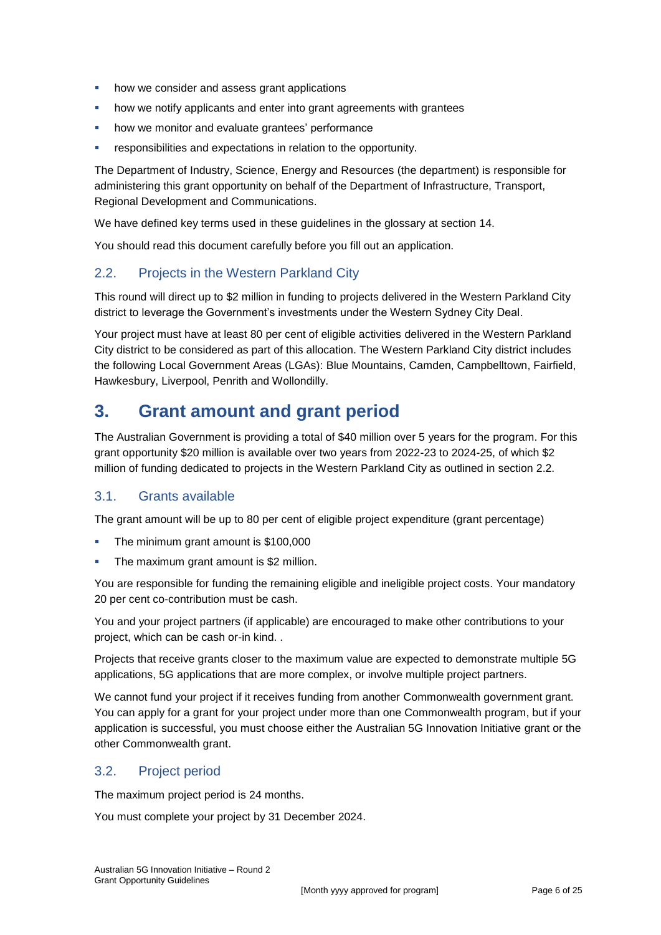- how we consider and assess grant applications
- how we notify applicants and enter into grant agreements with grantees
- how we monitor and evaluate grantees' performance
- **•** responsibilities and expectations in relation to the opportunity.

The Department of Industry, Science, Energy and Resources (the department) is responsible for administering this grant opportunity on behalf of the Department of Infrastructure, Transport, Regional Development and Communications.

We have defined key terms used in these guidelines in the glossary at section [14.](#page-19-0)

You should read this document carefully before you fill out an application.

# 2.2. Projects in the Western Parkland City

This round will direct up to \$2 million in funding to projects delivered in the Western Parkland City district to leverage the Government's investments under the Western Sydney City Deal.

Your project must have at least 80 per cent of eligible activities delivered in the Western Parkland City district to be considered as part of this allocation. The Western Parkland City district includes the following Local Government Areas (LGAs): Blue Mountains, Camden, Campbelltown, Fairfield, Hawkesbury, Liverpool, Penrith and Wollondilly.

# **3. Grant amount and grant period**

The Australian Government is providing a total of \$40 million over 5 years for the program. For this grant opportunity \$20 million is available over two years from 2022-23 to 2024-25, of which \$2 million of funding dedicated to projects in the Western Parkland City as outlined in section 2.2.

# 3.1. Grants available

The grant amount will be up to 80 per cent of eligible project expenditure (grant percentage)

- The minimum grant amount is \$100,000
- The maximum grant amount is \$2 million.

You are responsible for funding the remaining eligible and ineligible project costs. Your mandatory 20 per cent co-contribution must be cash.

You and your project partners (if applicable) are encouraged to make other contributions to your project, which can be cash or-in kind. .

Projects that receive grants closer to the maximum value are expected to demonstrate multiple 5G applications, 5G applications that are more complex, or involve multiple project partners.

We cannot fund your project if it receives funding from another Commonwealth government grant. You can apply for a grant for your project under more than one Commonwealth program, but if your application is successful, you must choose either the Australian 5G Innovation Initiative grant or the other Commonwealth grant.

# 3.2. Project period

The maximum project period is 24 months.

You must complete your project by 31 December 2024.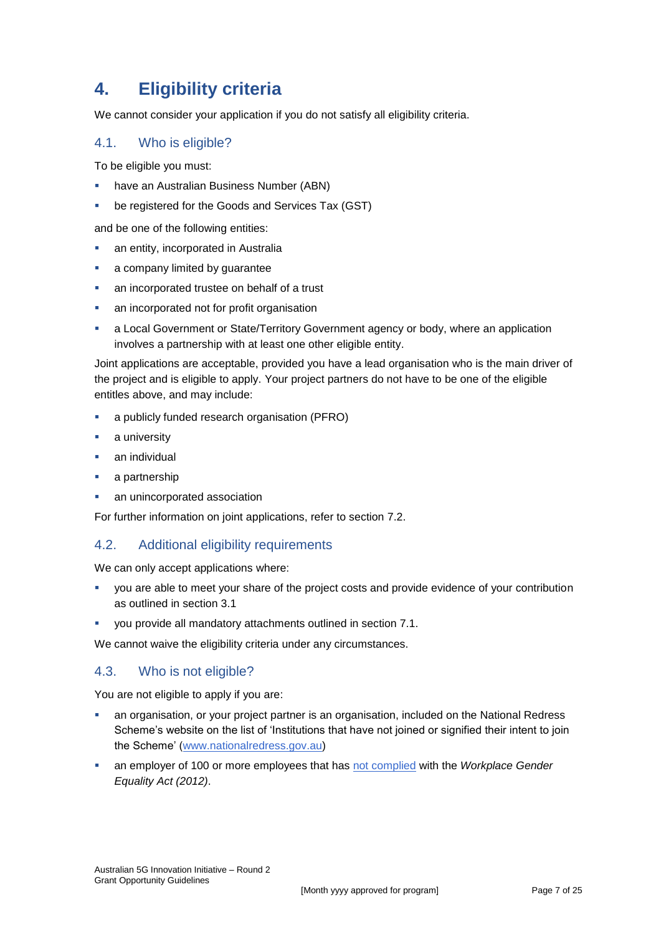# **4. Eligibility criteria**

We cannot consider your application if you do not satisfy all eligibility criteria.

### 4.1. Who is eligible?

To be eligible you must:

- have an Australian Business Number (ABN)
- be registered for the Goods and Services Tax (GST)

and be one of the following entities:

- **an entity, incorporated in Australia**
- a company limited by guarantee
- an incorporated trustee on behalf of a trust
- an incorporated not for profit organisation
- a Local Government or State/Territory Government agency or body, where an application involves a partnership with at least one other eligible entity.

Joint applications are acceptable, provided you have a lead organisation who is the main driver of the project and is eligible to apply. Your project partners do not have to be one of the eligible entitles above, and may include:

- a publicly funded research organisation (PFRO)
- a university
- an individual
- a partnership
- an unincorporated association

For further information on joint applications, refer to section [7.2.](#page-10-0)

### 4.2. Additional eligibility requirements

We can only accept applications where:

- you are able to meet your share of the project costs and provide evidence of your contribution as outlined in section 3.1
- you provide all mandatory attachments outlined in section 7.1.

We cannot waive the eligibility criteria under any circumstances.

### 4.3. Who is not eligible?

You are not eligible to apply if you are:

- an organisation, or your project partner is an organisation, included on the National Redress Scheme's website on the list of 'Institutions that have not joined or signified their intent to join the Scheme' [\(www.nationalredress.gov.au\)](http://www.nationalredress.gov.au/)
- an employer of 100 or more employees that has [not complied](https://www.wgea.gov.au/what-we-do/compliance-reporting/non-compliant-list) with the *Workplace Gender Equality Act (2012)*.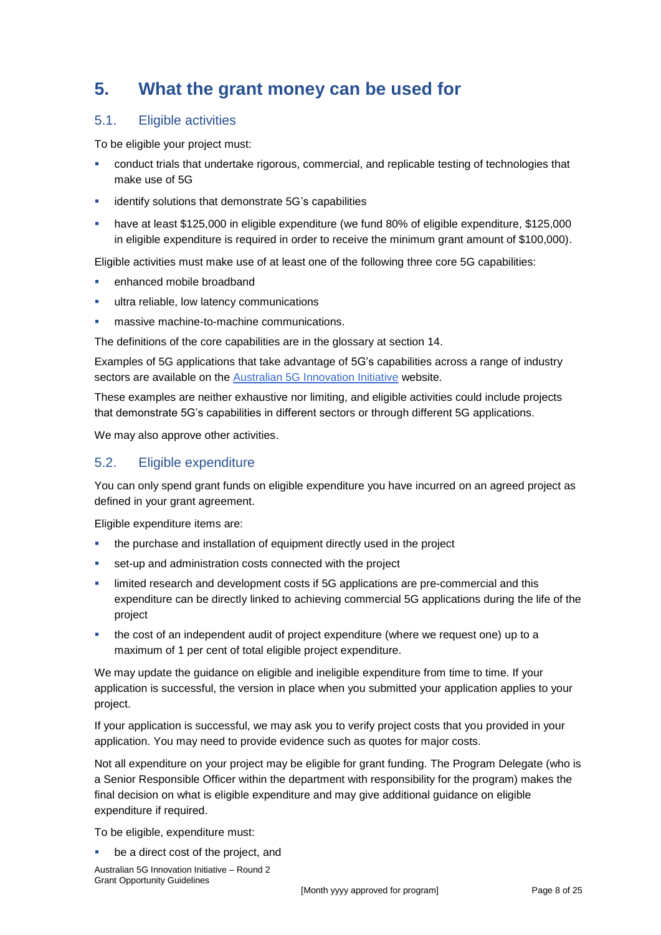# **5. What the grant money can be used for**

# <span id="page-7-0"></span>5.1. Eligible activities

To be eligible your project must:

- conduct trials that undertake rigorous, commercial, and replicable testing of technologies that make use of 5G
- **EXECT** identify solutions that demonstrate 5G's capabilities
- have at least \$125,000 in eligible expenditure (we fund 80% of eligible expenditure, \$125,000 in eligible expenditure is required in order to receive the minimum grant amount of \$100,000).

Eligible activities must make use of at least one of the following three core 5G capabilities:

- enhanced mobile broadband
- **ultra reliable, low latency communications**
- massive machine-to-machine communications.

The definitions of the core capabilities are in the glossary at section [14.](#page-19-0)

Examples of 5G applications that take advantage of 5G's capabilities across a range of industry sectors are available on the [Australian 5G Innovation Initiative](https://www.infrastructure.gov.au/media-technology-communications/spectrum/australian-5g-innovation-initiative) website.

These examples are neither exhaustive nor limiting, and eligible activities could include projects that demonstrate 5G's capabilities in different sectors or through different 5G applications.

We may also approve other activities.

# <span id="page-7-1"></span>5.2. Eligible expenditure

You can only spend grant funds on eligible expenditure you have incurred on an agreed project as defined in your grant agreement.

Eligible expenditure items are:

- the purchase and installation of equipment directly used in the project
- set-up and administration costs connected with the project
- **EXED** limited research and development costs if 5G applications are pre-commercial and this expenditure can be directly linked to achieving commercial 5G applications during the life of the project
- the cost of an independent audit of project expenditure (where we request one) up to a maximum of 1 per cent of total eligible project expenditure.

We may update the guidance on eligible and ineligible expenditure from time to time. If your application is successful, the version in place when you submitted your application applies to your project.

If your application is successful, we may ask you to verify project costs that you provided in your application. You may need to provide evidence such as quotes for major costs.

Not all expenditure on your project may be eligible for grant funding. The Program Delegate (who is a Senior Responsible Officer within the department with responsibility for the program) makes the final decision on what is eligible expenditure and may give additional guidance on eligible expenditure if required.

To be eligible, expenditure must:

be a direct cost of the project, and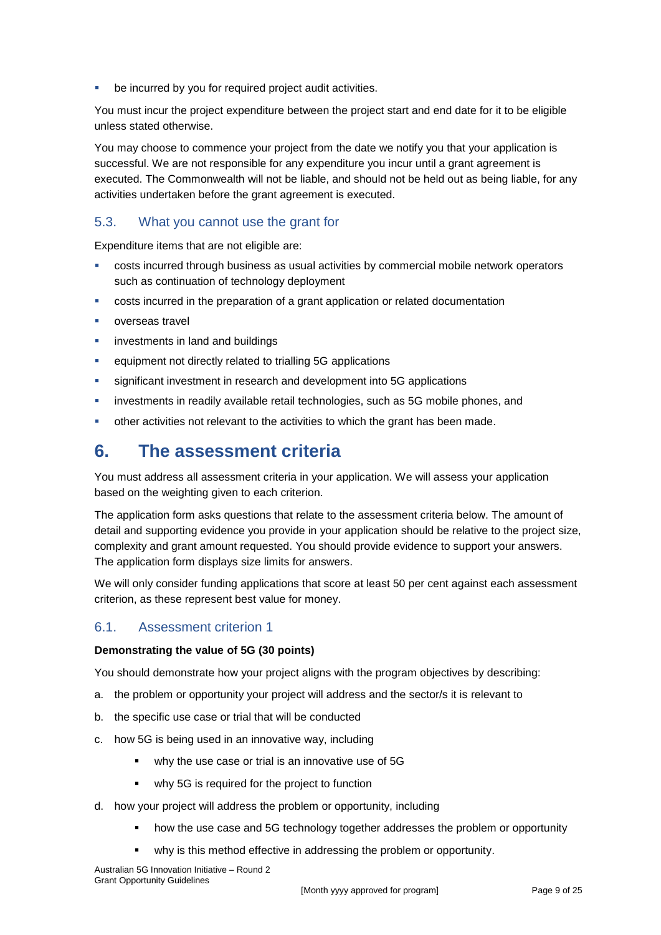be incurred by you for required project audit activities.

You must incur the project expenditure between the project start and end date for it to be eligible unless stated otherwise.

You may choose to commence your project from the date we notify you that your application is successful. We are not responsible for any expenditure you incur until a grant agreement is executed. The Commonwealth will not be liable, and should not be held out as being liable, for any activities undertaken before the grant agreement is executed.

# 5.3. What you cannot use the grant for

Expenditure items that are not eligible are:

- costs incurred through business as usual activities by commercial mobile network operators such as continuation of technology deployment
- costs incurred in the preparation of a grant application or related documentation
- overseas travel
- **EXECUTE:** investments in land and buildings
- equipment not directly related to trialling 5G applications
- **significant investment in research and development into 5G applications**
- investments in readily available retail technologies, such as 5G mobile phones, and
- other activities not relevant to the activities to which the grant has been made.

# **6. The assessment criteria**

You must address all assessment criteria in your application. We will assess your application based on the weighting given to each criterion.

The application form asks questions that relate to the assessment criteria below. The amount of detail and supporting evidence you provide in your application should be relative to the project size, complexity and grant amount requested. You should provide evidence to support your answers. The application form displays size limits for answers.

We will only consider funding applications that score at least 50 per cent against each assessment criterion, as these represent best value for money.

# 6.1. Assessment criterion 1

#### **Demonstrating the value of 5G (30 points)**

You should demonstrate how your project aligns with the program objectives by describing:

- a. the problem or opportunity your project will address and the sector/s it is relevant to
- b. the specific use case or trial that will be conducted
- c. how 5G is being used in an innovative way, including
	- why the use case or trial is an innovative use of 5G
	- why 5G is required for the project to function
- d. how your project will address the problem or opportunity, including
	- how the use case and 5G technology together addresses the problem or opportunity
	- why is this method effective in addressing the problem or opportunity.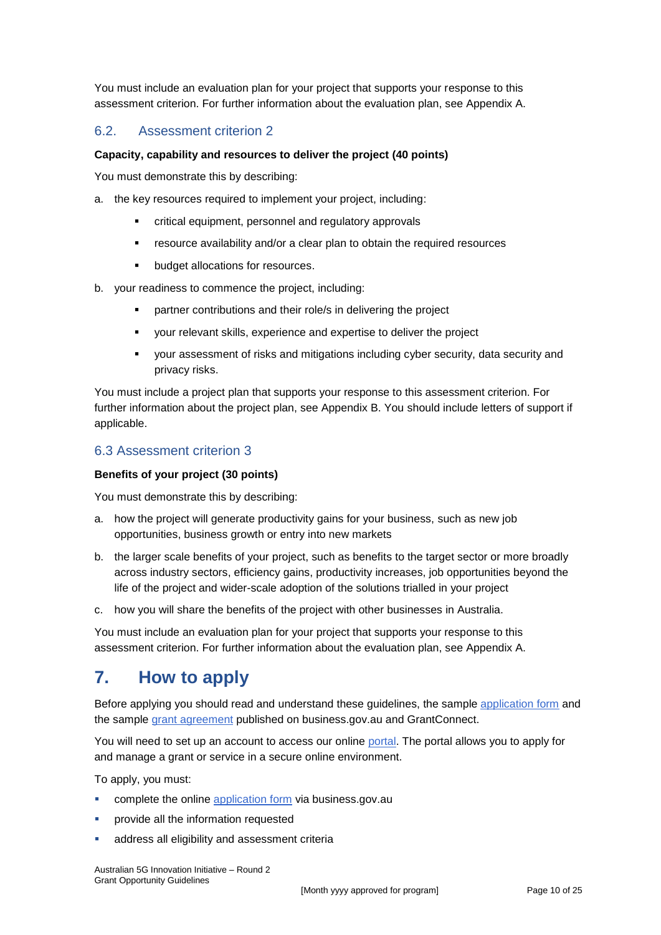You must include an evaluation plan for your project that supports your response to this assessment criterion. For further information about the evaluation plan, see Appendix A.

### 6.2. Assessment criterion 2

#### **Capacity, capability and resources to deliver the project (40 points)**

You must demonstrate this by describing:

- a. the key resources required to implement your project, including:
	- critical equipment, personnel and regulatory approvals
	- resource availability and/or a clear plan to obtain the required resources
	- **•** budget allocations for resources.
- b. your readiness to commence the project, including:
	- **•** partner contributions and their role/s in delivering the project
	- your relevant skills, experience and expertise to deliver the project
	- your assessment of risks and mitigations including cyber security, data security and privacy risks.

You must include a project plan that supports your response to this assessment criterion. For further information about the project plan, see Appendix B. You should include letters of support if applicable.

#### 6.3 Assessment criterion 3

#### **Benefits of your project (30 points)**

You must demonstrate this by describing:

- a. how the project will generate productivity gains for your business, such as new job opportunities, business growth or entry into new markets
- b. the larger scale benefits of your project, such as benefits to the target sector or more broadly across industry sectors, efficiency gains, productivity increases, job opportunities beyond the life of the project and wider-scale adoption of the solutions trialled in your project
- c. how you will share the benefits of the project with other businesses in Australia.

You must include an evaluation plan for your project that supports your response to this assessment criterion. For further information about the evaluation plan, see Appendix A.

# **7. How to apply**

Before applying you should read and understand these guidelines, the sample application form and the sample grant agreement published on business.gov.au and GrantConnect.

You will need to set up an account to access our online [portal.](https://portal.business.gov.au/) The portal allows you to apply for and manage a grant or service in a secure online environment.

To apply, you must:

- complete the online [application form](http://www.business.gov.au/INSERT%20URL) via business.gov.au
- provide all the information requested
- address all eligibility and assessment criteria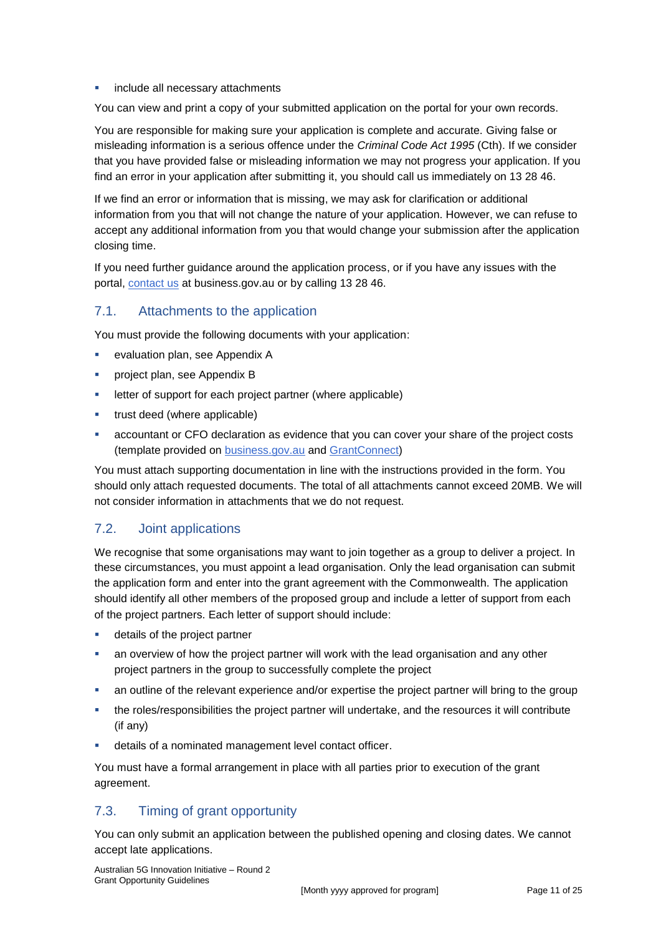#### include all necessary attachments

You can view and print a copy of your submitted application on the portal for your own records.

You are responsible for making sure your application is complete and accurate. Giving false or misleading information is a serious offence under the *Criminal Code Act 1995* (Cth). If we consider that you have provided false or misleading information we may not progress your application. If you find an error in your application after submitting it, you should call us immediately on 13 28 46.

If we find an error or information that is missing, we may ask for clarification or additional information from you that will not change the nature of your application. However, we can refuse to accept any additional information from you that would change your submission after the application closing time.

If you need further guidance around the application process, or if you have any issues with the portal, [contact us](https://www.business.gov.au/contact-us) at business.gov.au or by calling 13 28 46.

### 7.1. Attachments to the application

You must provide the following documents with your application:

- evaluation plan, see Appendix A
- **Project plan, see Appendix B**
- **EXECTE FIRE EXECTE FIRE EXECTE FIRE EXECTE FIRE EXECTE** is letter of support for each project partner applicable)
- trust deed (where applicable)
- accountant or CFO declaration as evidence that you can cover your share of the project costs (template provided on [business.gov.au](file:///C:/Users/ed6885/AppData/Local/Microsoft/Windows/INetCache/Content.Outlook/HMAQCS3Q/tbc) and [GrantConnect\)](file:///C:/Users/ed6885/AppData/Local/Microsoft/Windows/INetCache/Content.Outlook/HMAQCS3Q/tbc)

You must attach supporting documentation in line with the instructions provided in the form. You should only attach requested documents. The total of all attachments cannot exceed 20MB. We will not consider information in attachments that we do not request.

# <span id="page-10-0"></span>7.2. Joint applications

We recognise that some organisations may want to join together as a group to deliver a project. In these circumstances, you must appoint a lead organisation. Only the lead organisation can submit the application form and enter into the grant agreement with the Commonwealth. The application should identify all other members of the proposed group and include a letter of support from each of the project partners. Each letter of support should include:

- **details of the project partner**
- an overview of how the project partner will work with the lead organisation and any other project partners in the group to successfully complete the project
- an outline of the relevant experience and/or expertise the project partner will bring to the group
- the roles/responsibilities the project partner will undertake, and the resources it will contribute (if any)
- details of a nominated management level contact officer.

You must have a formal arrangement in place with all parties prior to execution of the grant agreement.

# 7.3. Timing of grant opportunity

You can only submit an application between the published opening and closing dates. We cannot accept late applications.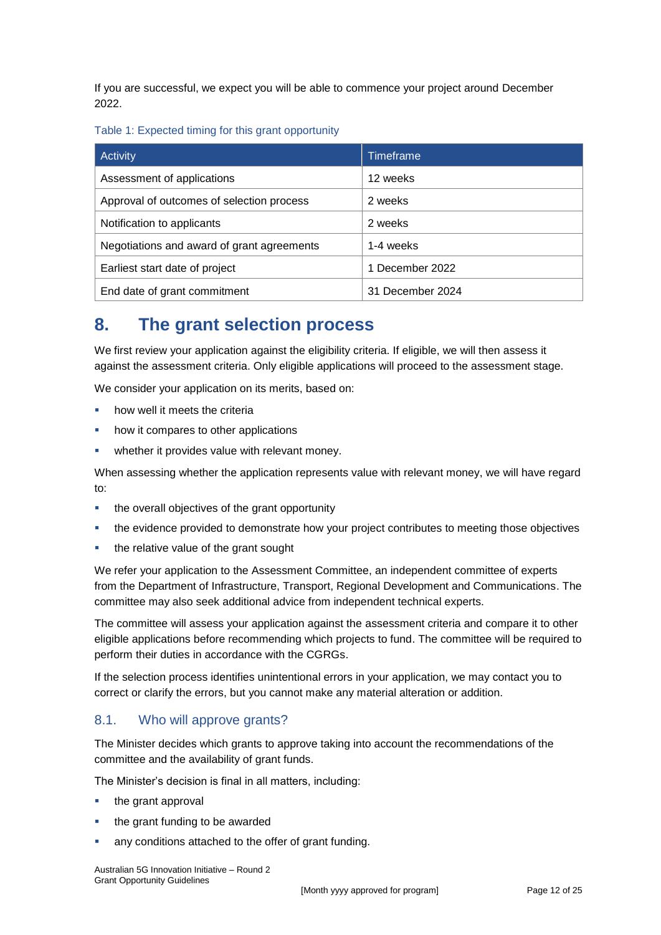If you are successful, we expect you will be able to commence your project around December 2022.

#### Table 1: Expected timing for this grant opportunity

| Activity                                   | Timeframe        |
|--------------------------------------------|------------------|
| Assessment of applications                 | 12 weeks         |
| Approval of outcomes of selection process  | 2 weeks          |
| Notification to applicants                 | 2 weeks          |
| Negotiations and award of grant agreements | 1-4 weeks        |
| Earliest start date of project             | 1 December 2022  |
| End date of grant commitment               | 31 December 2024 |

# **8. The grant selection process**

We first review your application against the eligibility criteria. If eligible, we will then assess it against the assessment criteria. Only eligible applications will proceed to the assessment stage.

We consider your application on its merits, based on:

- how well it meets the criteria
- how it compares to other applications
- whether it provides value with relevant money.

When assessing whether the application represents value with relevant money, we will have regard to:

- the overall objectives of the grant opportunity
- the evidence provided to demonstrate how your project contributes to meeting those objectives
- the relative value of the grant sought

We refer your application to the Assessment Committee, an independent committee of experts from the Department of Infrastructure, Transport, Regional Development and Communications. The committee may also seek additional advice from independent technical experts.

The committee will assess your application against the assessment criteria and compare it to other eligible applications before recommending which projects to fund. The committee will be required to perform their duties in accordance with the CGRGs.

If the selection process identifies unintentional errors in your application, we may contact you to correct or clarify the errors, but you cannot make any material alteration or addition.

# 8.1. Who will approve grants?

The Minister decides which grants to approve taking into account the recommendations of the committee and the availability of grant funds.

The Minister's decision is final in all matters, including:

- the grant approval
- the grant funding to be awarded
- any conditions attached to the offer of grant funding.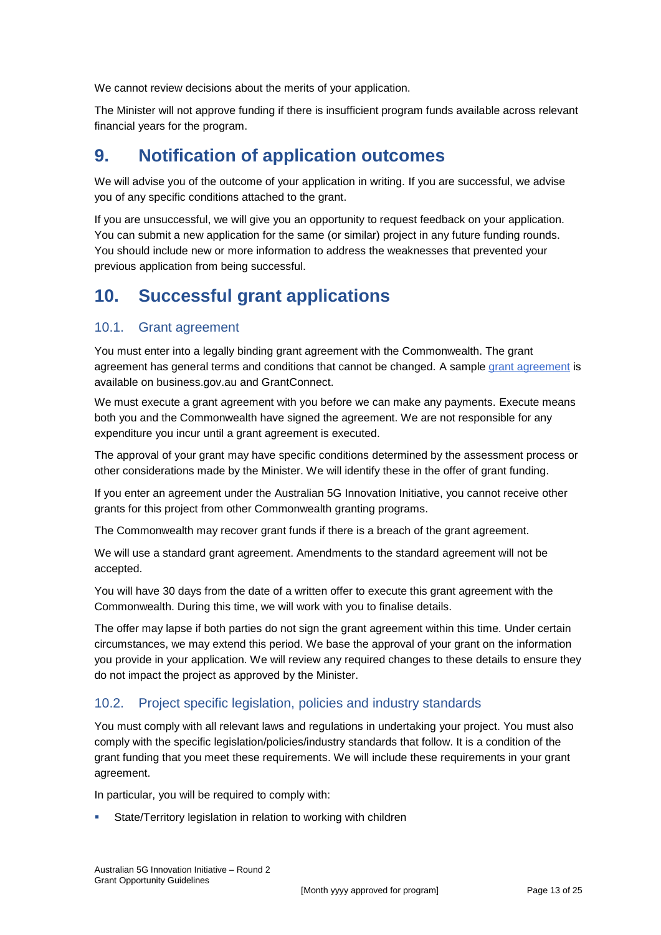We cannot review decisions about the merits of your application.

The Minister will not approve funding if there is insufficient program funds available across relevant financial years for the program.

# **9. Notification of application outcomes**

We will advise you of the outcome of your application in writing. If you are successful, we advise you of any specific conditions attached to the grant.

If you are unsuccessful, we will give you an opportunity to request feedback on your application. You can submit a new application for the same (or similar) project in any future funding rounds. You should include new or more information to address the weaknesses that prevented your previous application from being successful.

# **10. Successful grant applications**

# 10.1. Grant agreement

You must enter into a legally binding grant agreement with the Commonwealth. The grant agreement has general terms and conditions that cannot be changed. A sample grant agreement is available on business.gov.au and GrantConnect.

We must execute a grant agreement with you before we can make any payments. Execute means both you and the Commonwealth have signed the agreement. We are not responsible for any expenditure you incur until a grant agreement is executed.

The approval of your grant may have specific conditions determined by the assessment process or other considerations made by the Minister. We will identify these in the offer of grant funding.

If you enter an agreement under the Australian 5G Innovation Initiative, you cannot receive other grants for this project from other Commonwealth granting programs.

The Commonwealth may recover grant funds if there is a breach of the grant agreement.

We will use a standard grant agreement. Amendments to the standard agreement will not be accepted.

You will have 30 days from the date of a written offer to execute this grant agreement with the Commonwealth. During this time, we will work with you to finalise details.

The offer may lapse if both parties do not sign the grant agreement within this time. Under certain circumstances, we may extend this period. We base the approval of your grant on the information you provide in your application. We will review any required changes to these details to ensure they do not impact the project as approved by the Minister.

# 10.2. Project specific legislation, policies and industry standards

You must comply with all relevant laws and regulations in undertaking your project. You must also comply with the specific legislation/policies/industry standards that follow. It is a condition of the grant funding that you meet these requirements. We will include these requirements in your grant agreement.

In particular, you will be required to comply with:

State/Territory legislation in relation to working with children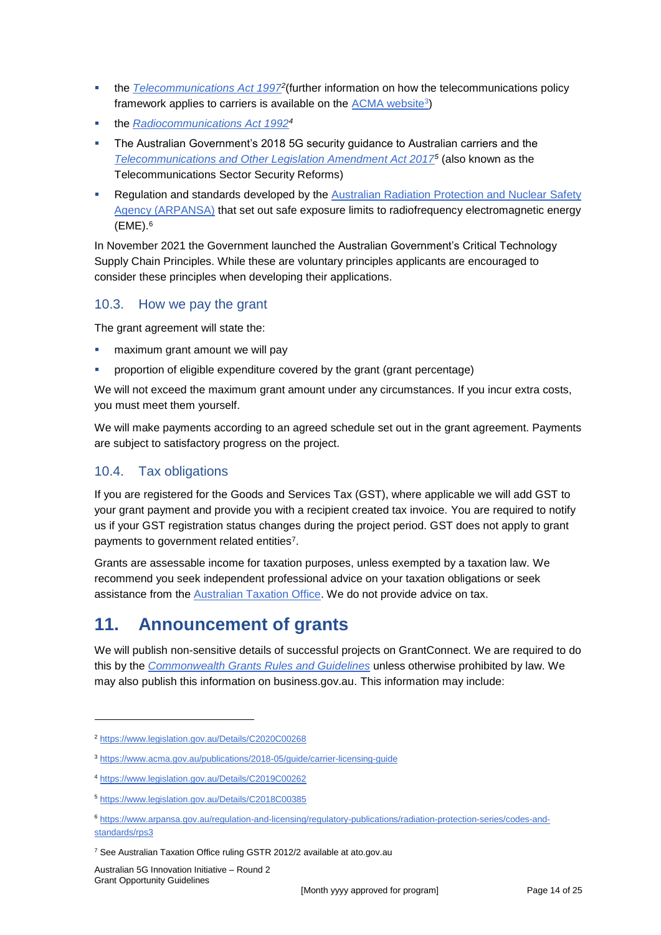- **the** *[Telecommunications Act 1997](https://www.legislation.gov.au/Details/C2020C00268)***<sup>2</sup>(further information on how the telecommunications policy** framework applies to carriers is available on the <u>ACMA website3</u>)
- the *[Radiocommunications Act 1992](https://www.legislation.gov.au/Details/C2019C00262)<sup>4</sup>*
- The Australian Government's 2018 5G security guidance to Australian carriers and the *[Telecommunications and Other Legislation Amendment Act 2017](https://www.legislation.gov.au/Details/C2018C00385)<sup>5</sup>* (also known as the Telecommunications Sector Security Reforms)
- **Regulation and standards developed by the Australian Radiation Protection and Nuclear Safety** [Agency \(ARPANSA\)](https://www.arpansa.gov.au/regulation-and-licensing/regulatory-publications/radiation-protection-series/codes-and-standards/rps3) that set out safe exposure limits to radiofrequency electromagnetic energy (EME).<sup>6</sup>

In November 2021 the Government launched the Australian Government's Critical Technology Supply Chain Principles. While these are voluntary principles applicants are encouraged to consider these principles when developing their applications.

# 10.3. How we pay the grant

The grant agreement will state the:

- maximum grant amount we will pay
- proportion of eligible expenditure covered by the grant (grant percentage)

We will not exceed the maximum grant amount under any circumstances. If you incur extra costs, you must meet them yourself.

We will make payments according to an agreed schedule set out in the grant agreement. Payments are subject to satisfactory progress on the project.

# 10.4. Tax obligations

If you are registered for the Goods and Services Tax (GST), where applicable we will add GST to your grant payment and provide you with a recipient created tax invoice. You are required to notify us if your GST registration status changes during the project period. GST does not apply to grant payments to government related entities<sup>7</sup>.

Grants are assessable income for taxation purposes, unless exempted by a taxation law. We recommend you seek independent professional advice on your taxation obligations or seek assistance from the [Australian Taxation Office.](https://www.ato.gov.au/) We do not provide advice on tax.

# **11. Announcement of grants**

We will publish non-sensitive details of successful projects on GrantConnect. We are required to do this by the *[Commonwealth Grants Rules and Guidelines](https://www.finance.gov.au/government/commonwealth-grants/commonwealth-grants-rules-guidelines)* unless otherwise prohibited by law. We may also publish this information on business.gov.au. This information may include:

-

<sup>2</sup> <https://www.legislation.gov.au/Details/C2020C00268>

<sup>3</sup> <https://www.acma.gov.au/publications/2018-05/guide/carrier-licensing-guide>

<sup>4</sup> <https://www.legislation.gov.au/Details/C2019C00262>

<sup>5</sup> <https://www.legislation.gov.au/Details/C2018C00385>

<sup>6</sup> [https://www.arpansa.gov.au/regulation-and-licensing/regulatory-publications/radiation-protection-series/codes-and](https://www.arpansa.gov.au/regulation-and-licensing/regulatory-publications/radiation-protection-series/codes-and-standards/rps3)[standards/rps3](https://www.arpansa.gov.au/regulation-and-licensing/regulatory-publications/radiation-protection-series/codes-and-standards/rps3)

<sup>7</sup> See Australian Taxation Office ruling GSTR 2012/2 available at ato.gov.au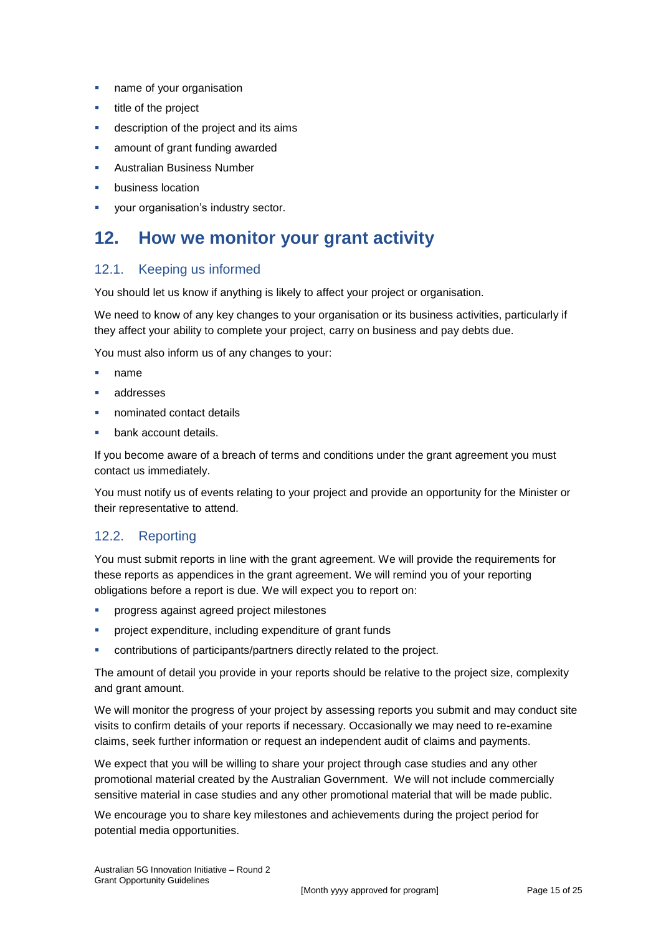- **name of your organisation**
- $\blacksquare$  title of the project
- description of the project and its aims
- amount of grant funding awarded
- Australian Business Number
- business location
- **•** your organisation's industry sector.

# **12. How we monitor your grant activity**

### 12.1. Keeping us informed

You should let us know if anything is likely to affect your project or organisation.

We need to know of any key changes to your organisation or its business activities, particularly if they affect your ability to complete your project, carry on business and pay debts due.

You must also inform us of any changes to your:

- name
- addresses
- nominated contact details
- bank account details.

If you become aware of a breach of terms and conditions under the grant agreement you must contact us immediately.

You must notify us of events relating to your project and provide an opportunity for the Minister or their representative to attend.

# 12.2. Reporting

You must submit reports in line with the [grant agreement.](file://///prod.protected.ind/User/user03/LLau2/insert%20link%20here) We will provide the requirements for these reports as appendices in the grant agreement. We will remind you of your reporting obligations before a report is due. We will expect you to report on:

- **•** progress against agreed project milestones
- project expenditure, including expenditure of grant funds
- contributions of participants/partners directly related to the project.

The amount of detail you provide in your reports should be relative to the project size, complexity and grant amount.

We will monitor the progress of your project by assessing reports you submit and may conduct site visits to confirm details of your reports if necessary. Occasionally we may need to re-examine claims, seek further information or request an independent audit of claims and payments.

We expect that you will be willing to share your project through case studies and any other promotional material created by the Australian Government. We will not include commercially sensitive material in case studies and any other promotional material that will be made public.

We encourage you to share key milestones and achievements during the project period for potential media opportunities.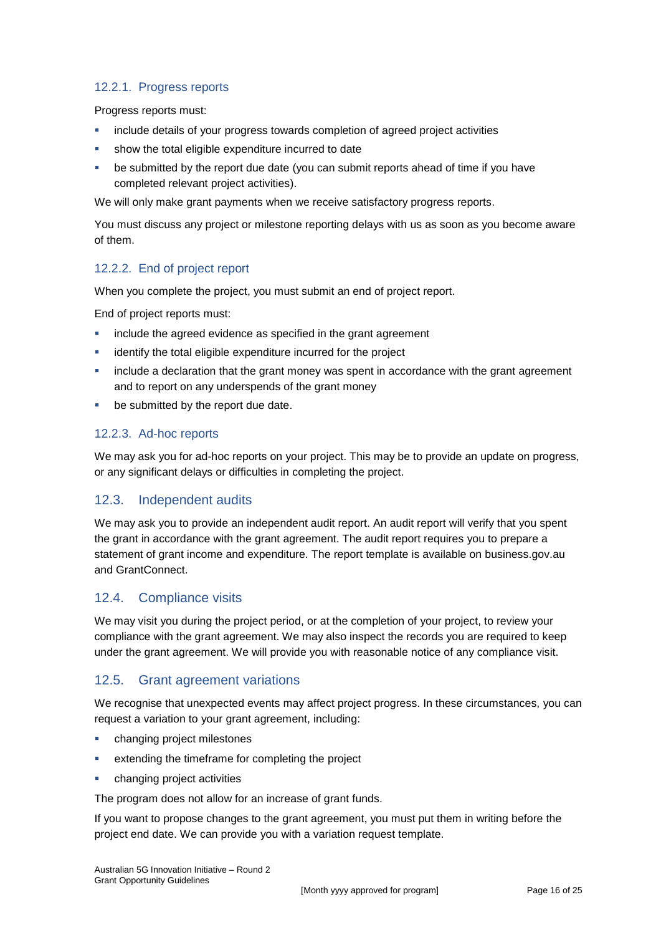### 12.2.1. Progress reports

Progress reports must:

- include details of your progress towards completion of agreed project activities
- show the total eligible expenditure incurred to date
- be submitted by the report due date (you can submit reports ahead of time if you have completed relevant project activities).

We will only make grant payments when we receive satisfactory progress reports.

You must discuss any project or milestone reporting delays with us as soon as you become aware of them.

### 12.2.2. End of project report

When you complete the project, you must submit an end of project report.

End of project reports must:

- **EXEDENT** include the agreed evidence as specified in the grant agreement
- identify the total eligible expenditure incurred for the project
- include a declaration that the grant money was spent in accordance with the grant agreement and to report on any underspends of the grant money
- **be submitted by the report due date.**

### 12.2.3. Ad-hoc reports

We may ask you for ad-hoc reports on your project. This may be to provide an update on progress, or any significant delays or difficulties in completing the project.

# 12.3. Independent audits

We may ask you to provide an independent audit report. An audit report will verify that you spent the grant in accordance with the grant agreement. The audit report requires you to prepare a statement of grant income and expenditure. The report template is available on business.gov.au and GrantConnect.

### 12.4. Compliance visits

We may visit you during the project period, or at the completion of your project, to review your compliance with the grant agreement. We may also inspect the records you are required to keep under the grant agreement. We will provide you with reasonable notice of any compliance visit.

# 12.5. Grant agreement variations

We recognise that unexpected events may affect project progress. In these circumstances, you can request a variation to your grant agreement, including:

- changing project milestones
- **EXTER 1** extending the timeframe for completing the project
- changing project activities

The program does not allow for an increase of grant funds.

If you want to propose changes to the grant agreement, you must put them in writing before the project end date. We can provide you with a variation request template.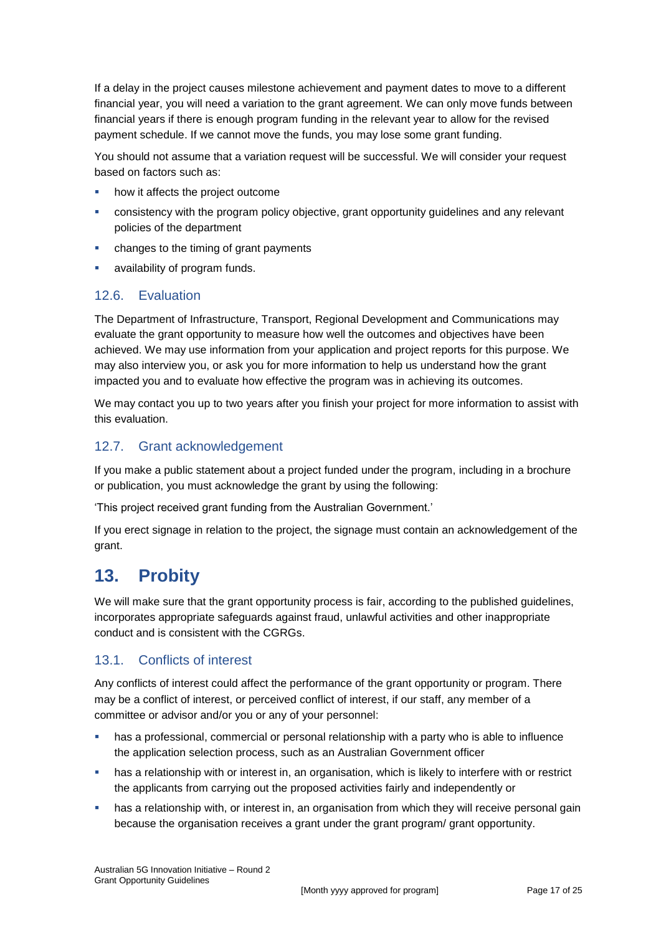If a delay in the project causes milestone achievement and payment dates to move to a different financial year, you will need a variation to the grant agreement. We can only move funds between financial years if there is enough program funding in the relevant year to allow for the revised payment schedule. If we cannot move the funds, you may lose some grant funding.

You should not assume that a variation request will be successful. We will consider your request based on factors such as:

- how it affects the project outcome
- consistency with the program policy objective, grant opportunity guidelines and any relevant policies of the department
- changes to the timing of grant payments
- availability of program funds.

# 12.6. Evaluation

The Department of Infrastructure, Transport, Regional Development and Communications may evaluate the grant opportunity to measure how well the outcomes and objectives have been achieved. We may use information from your application and project reports for this purpose. We may also interview you, or ask you for more information to help us understand how the grant impacted you and to evaluate how effective the program was in achieving its outcomes.

We may contact you up to two years after you finish your project for more information to assist with this evaluation.

# 12.7. Grant acknowledgement

If you make a public statement about a project funded under the program, including in a brochure or publication, you must acknowledge the grant by using the following:

'This project received grant funding from the Australian Government.'

If you erect signage in relation to the project, the signage must contain an acknowledgement of the grant.

# **13. Probity**

We will make sure that the grant opportunity process is fair, according to the published guidelines, incorporates appropriate safeguards against fraud, unlawful activities and other inappropriate conduct and is consistent with the CGRGs.

# 13.1. Conflicts of interest

Any conflicts of interest could affect the performance of the grant opportunity or program. There may be a [conflict of interest,](http://www.apsc.gov.au/publications-and-media/current-publications/aps-values-and-code-of-conduct-in-practice/conflict-of-interest) or perceived conflict of interest, if our staff, any member of a committee or advisor and/or you or any of your personnel:

- has a professional, commercial or personal relationship with a party who is able to influence the application selection process, such as an Australian Government officer
- has a relationship with or interest in, an organisation, which is likely to interfere with or restrict the applicants from carrying out the proposed activities fairly and independently or
- has a relationship with, or interest in, an organisation from which they will receive personal gain because the organisation receives a grant under the grant program/ grant opportunity.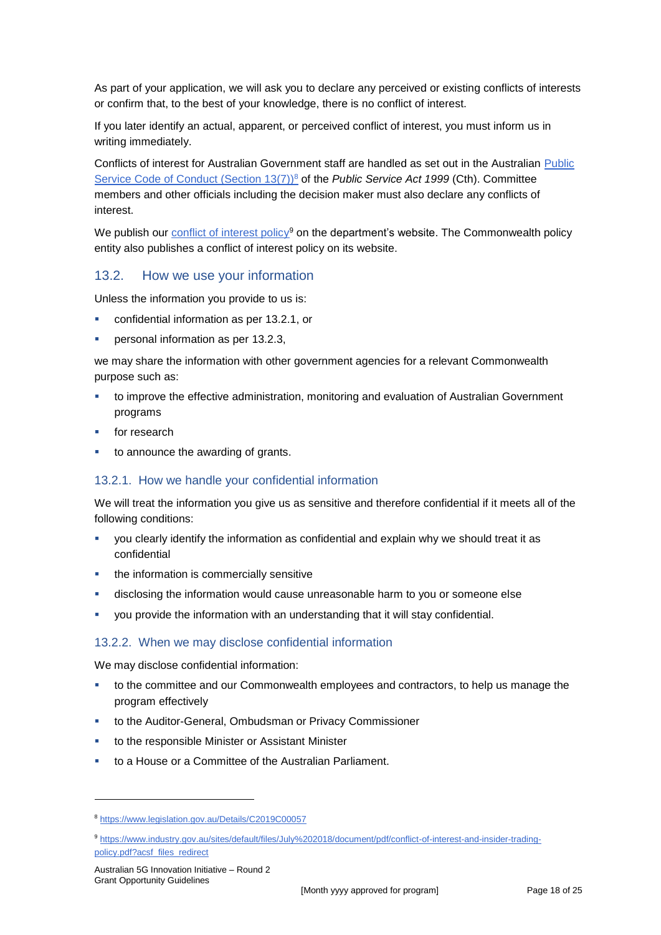As part of your application, we will ask you to declare any perceived or existing conflicts of interests or confirm that, to the best of your knowledge, there is no conflict of interest.

If you later identify an actual, apparent, or perceived conflict of interest, you must inform us in writing immediately.

Conflicts of interest for Australian Government staff are handled as set out in the Australian [Public](https://www.legislation.gov.au/Details/C2019C00057)  [Service Code of Conduct \(Section 13\(7\)\)](https://www.legislation.gov.au/Details/C2019C00057)<sup>8</sup> of the *Public Service Act 1999* (Cth). Committee members and other officials including the decision maker must also declare any conflicts of interest.

We publish our [conflict of interest policy](https://www.industry.gov.au/sites/g/files/net3906/f/July%202018/document/pdf/conflict-of-interest-and-insider-trading-policy.pdf)<sup>9</sup> on the department's website. The Commonwealth policy entity also publishes a conflict of interest policy on its website.

### 13.2. How we use your information

Unless the information you provide to us is:

- confidential information as per [13.2.1,](#page-17-0) or
- personal information as per [13.2.3,](#page-18-0)

we may share the information with other government agencies for a relevant Commonwealth purpose such as:

- to improve the effective administration, monitoring and evaluation of Australian Government programs
- **for research**
- to announce the awarding of grants.

#### <span id="page-17-0"></span>13.2.1. How we handle your confidential information

We will treat the information you give us as sensitive and therefore confidential if it meets all of the following conditions:

- you clearly identify the information as confidential and explain why we should treat it as confidential
- the information is commercially sensitive
- disclosing the information would cause unreasonable harm to you or someone else
- you provide the information with an understanding that it will stay confidential.

#### 13.2.2. When we may disclose confidential information

We may disclose confidential information:

- to the committee and our Commonwealth employees and contractors, to help us manage the program effectively
- to the Auditor-General, Ombudsman or Privacy Commissioner
- to the responsible Minister or Assistant Minister
- to a House or a Committee of the Australian Parliament.

<sup>9</sup> [https://www.industry.gov.au/sites/default/files/July%202018/document/pdf/conflict-of-interest-and-insider-trading](https://www.industry.gov.au/sites/default/files/July%202018/document/pdf/conflict-of-interest-and-insider-trading-policy.pdf?acsf_files_redirect)[policy.pdf?acsf\\_files\\_redirect](https://www.industry.gov.au/sites/default/files/July%202018/document/pdf/conflict-of-interest-and-insider-trading-policy.pdf?acsf_files_redirect)

-

<sup>8</sup> https://www.legislation.gov.au/Details/C2019C00057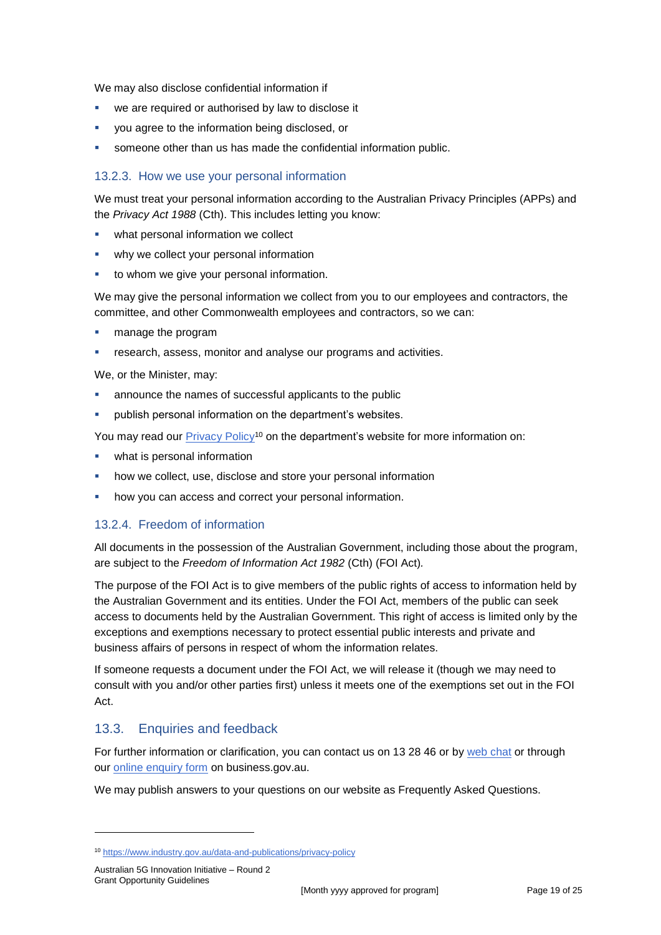We may also disclose confidential information if

- we are required or authorised by law to disclose it
- you agree to the information being disclosed, or
- someone other than us has made the confidential information public.

#### <span id="page-18-0"></span>13.2.3. How we use your personal information

We must treat your personal information according to the Australian Privacy Principles (APPs) and the *Privacy Act 1988* (Cth). This includes letting you know:

- what personal information we collect
- why we collect your personal information
- to whom we give your personal information.

We may give the personal information we collect from you to our employees and contractors, the committee, and other Commonwealth employees and contractors, so we can:

- **nanage the program**
- research, assess, monitor and analyse our programs and activities.

We, or the Minister, may:

- announce the names of successful applicants to the public
- publish personal information on the department's websites.

You may read our **Privacy Policy<sup>10</sup>** on the department's website for more information on:

- what is personal information
- how we collect, use, disclose and store your personal information
- how you can access and correct your personal information.

### 13.2.4. Freedom of information

All documents in the possession of the Australian Government, including those about the program, are subject to the *Freedom of Information Act 1982* (Cth) (FOI Act)*.*

The purpose of the FOI Act is to give members of the public rights of access to information held by the Australian Government and its entities. Under the FOI Act, members of the public can seek access to documents held by the Australian Government. This right of access is limited only by the exceptions and exemptions necessary to protect essential public interests and private and business affairs of persons in respect of whom the information relates.

If someone requests a document under the FOI Act, we will release it (though we may need to consult with you and/or other parties first) unless it meets one of the exemptions set out in the FOI Act.

# 13.3. Enquiries and feedback

For further information or clarification, you can contact us on 13 28 46 or by [web chat](https://www.business.gov.au/contact-us) or through our **online enquiry form** on business.gov.au.

We may publish answers to your questions on our website as Frequently Asked Questions.

1

<sup>10</sup> <https://www.industry.gov.au/data-and-publications/privacy-policy>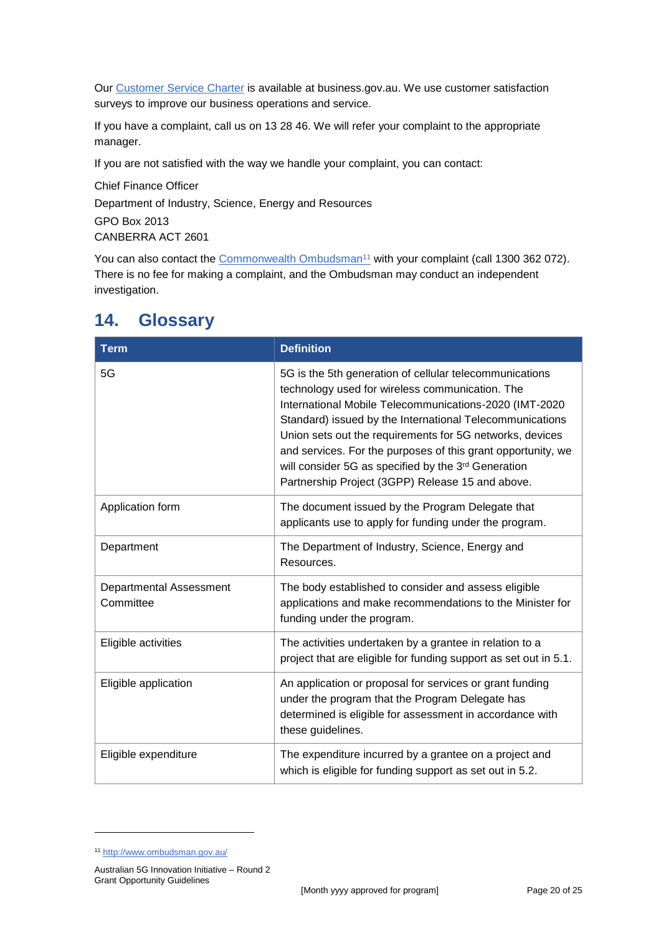Our [Customer Service Charter](https://www.business.gov.au/about/customer-service-charter) is available at [business.gov.au.](http://www.business.gov.au/) We use customer satisfaction surveys to improve our business operations and service.

If you have a complaint, call us on 13 28 46. We will refer your complaint to the appropriate manager.

If you are not satisfied with the way we handle your complaint, you can contact:

Chief Finance Officer Department of Industry, Science, Energy and Resources GPO Box 2013 CANBERRA ACT 2601

You can also contact the [Commonwealth Ombudsman](http://www.ombudsman.gov.au/)<sup>11</sup> with your complaint (call 1300 362 072). There is no fee for making a complaint, and the Ombudsman may conduct an independent investigation.

| <b>Term</b>                                 | <b>Definition</b>                                                                                                                                                                                                                                                                                                                                                                                                                                                       |  |  |
|---------------------------------------------|-------------------------------------------------------------------------------------------------------------------------------------------------------------------------------------------------------------------------------------------------------------------------------------------------------------------------------------------------------------------------------------------------------------------------------------------------------------------------|--|--|
| 5G                                          | 5G is the 5th generation of cellular telecommunications<br>technology used for wireless communication. The<br>International Mobile Telecommunications-2020 (IMT-2020<br>Standard) issued by the International Telecommunications<br>Union sets out the requirements for 5G networks, devices<br>and services. For the purposes of this grant opportunity, we<br>will consider 5G as specified by the 3rd Generation<br>Partnership Project (3GPP) Release 15 and above. |  |  |
| Application form                            | The document issued by the Program Delegate that<br>applicants use to apply for funding under the program.                                                                                                                                                                                                                                                                                                                                                              |  |  |
| Department                                  | The Department of Industry, Science, Energy and<br>Resources.                                                                                                                                                                                                                                                                                                                                                                                                           |  |  |
| <b>Departmental Assessment</b><br>Committee | The body established to consider and assess eligible<br>applications and make recommendations to the Minister for<br>funding under the program.                                                                                                                                                                                                                                                                                                                         |  |  |
| Eligible activities                         | The activities undertaken by a grantee in relation to a<br>project that are eligible for funding support as set out in 5.1.                                                                                                                                                                                                                                                                                                                                             |  |  |
| Eligible application                        | An application or proposal for services or grant funding<br>under the program that the Program Delegate has<br>determined is eligible for assessment in accordance with<br>these guidelines.                                                                                                                                                                                                                                                                            |  |  |
| Eligible expenditure                        | The expenditure incurred by a grantee on a project and<br>which is eligible for funding support as set out in 5.2.                                                                                                                                                                                                                                                                                                                                                      |  |  |

# <span id="page-19-0"></span>**14. Glossary**

1

<sup>11</sup> <http://www.ombudsman.gov.au/>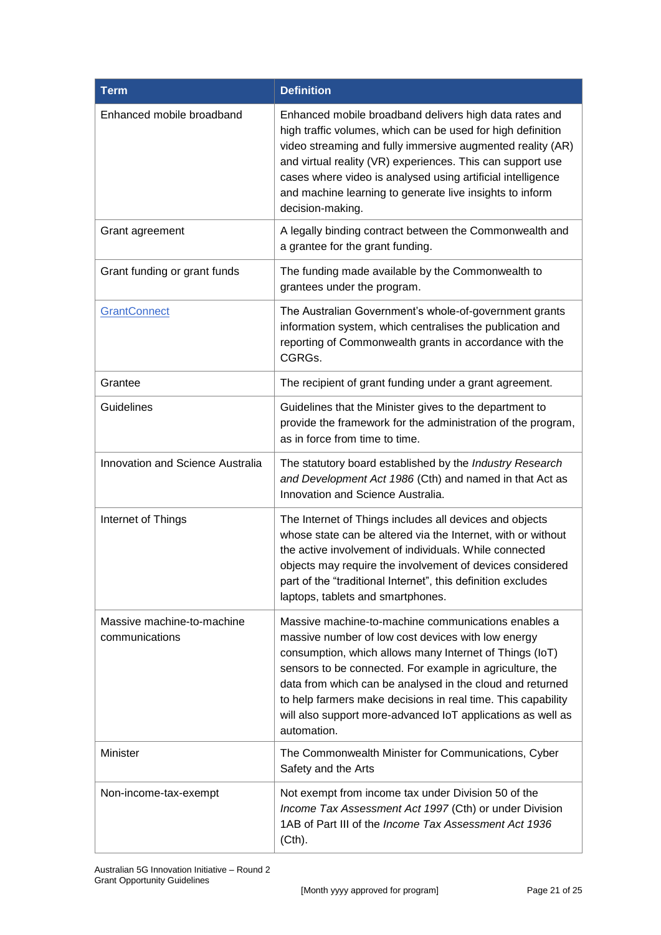| <b>Term</b>                                  | <b>Definition</b>                                                                                                                                                                                                                                                                                                                                                                                                                           |
|----------------------------------------------|---------------------------------------------------------------------------------------------------------------------------------------------------------------------------------------------------------------------------------------------------------------------------------------------------------------------------------------------------------------------------------------------------------------------------------------------|
| Enhanced mobile broadband                    | Enhanced mobile broadband delivers high data rates and<br>high traffic volumes, which can be used for high definition<br>video streaming and fully immersive augmented reality (AR)<br>and virtual reality (VR) experiences. This can support use<br>cases where video is analysed using artificial intelligence<br>and machine learning to generate live insights to inform<br>decision-making.                                            |
| Grant agreement                              | A legally binding contract between the Commonwealth and<br>a grantee for the grant funding.                                                                                                                                                                                                                                                                                                                                                 |
| Grant funding or grant funds                 | The funding made available by the Commonwealth to<br>grantees under the program.                                                                                                                                                                                                                                                                                                                                                            |
| <b>GrantConnect</b>                          | The Australian Government's whole-of-government grants<br>information system, which centralises the publication and<br>reporting of Commonwealth grants in accordance with the<br>CGRGs.                                                                                                                                                                                                                                                    |
| Grantee                                      | The recipient of grant funding under a grant agreement.                                                                                                                                                                                                                                                                                                                                                                                     |
| <b>Guidelines</b>                            | Guidelines that the Minister gives to the department to<br>provide the framework for the administration of the program,<br>as in force from time to time.                                                                                                                                                                                                                                                                                   |
| <b>Innovation and Science Australia</b>      | The statutory board established by the Industry Research<br>and Development Act 1986 (Cth) and named in that Act as<br>Innovation and Science Australia.                                                                                                                                                                                                                                                                                    |
| Internet of Things                           | The Internet of Things includes all devices and objects<br>whose state can be altered via the Internet, with or without<br>the active involvement of individuals. While connected<br>objects may require the involvement of devices considered<br>part of the "traditional Internet", this definition excludes<br>laptops, tablets and smartphones.                                                                                         |
| Massive machine-to-machine<br>communications | Massive machine-to-machine communications enables a<br>massive number of low cost devices with low energy<br>consumption, which allows many Internet of Things (IoT)<br>sensors to be connected. For example in agriculture, the<br>data from which can be analysed in the cloud and returned<br>to help farmers make decisions in real time. This capability<br>will also support more-advanced IoT applications as well as<br>automation. |
| Minister                                     | The Commonwealth Minister for Communications, Cyber<br>Safety and the Arts                                                                                                                                                                                                                                                                                                                                                                  |
| Non-income-tax-exempt                        | Not exempt from income tax under Division 50 of the<br>Income Tax Assessment Act 1997 (Cth) or under Division<br>1AB of Part III of the Income Tax Assessment Act 1936<br>(Cth).                                                                                                                                                                                                                                                            |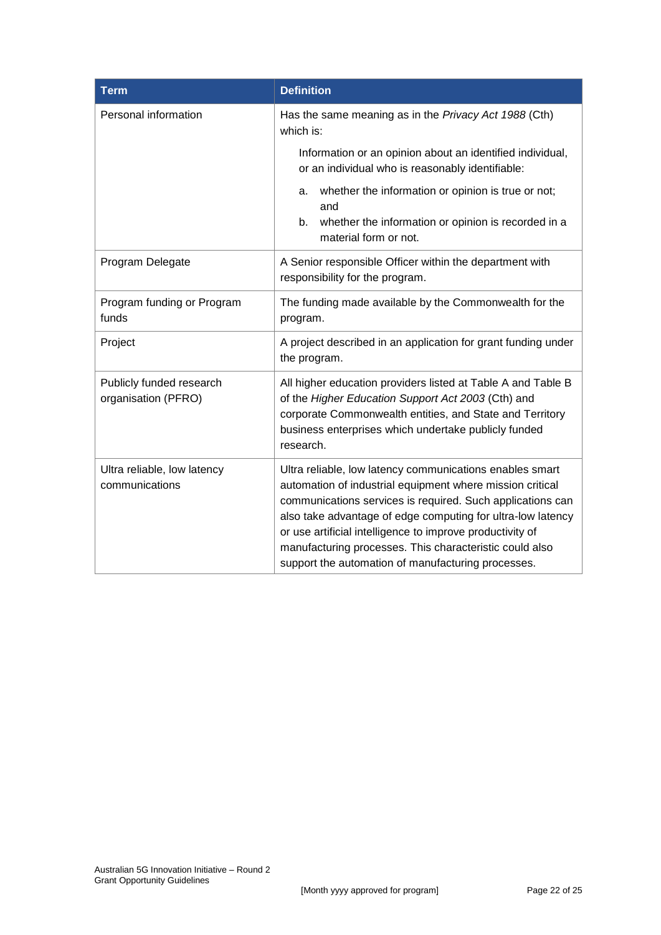| <b>Term</b>                                     | <b>Definition</b>                                                                                                                                                                                                                                                                                                                                                                                                                |  |  |  |
|-------------------------------------------------|----------------------------------------------------------------------------------------------------------------------------------------------------------------------------------------------------------------------------------------------------------------------------------------------------------------------------------------------------------------------------------------------------------------------------------|--|--|--|
| Personal information                            | Has the same meaning as in the Privacy Act 1988 (Cth)<br>which is:                                                                                                                                                                                                                                                                                                                                                               |  |  |  |
|                                                 | Information or an opinion about an identified individual,<br>or an individual who is reasonably identifiable:                                                                                                                                                                                                                                                                                                                    |  |  |  |
|                                                 | whether the information or opinion is true or not;<br>a.<br>and                                                                                                                                                                                                                                                                                                                                                                  |  |  |  |
|                                                 | whether the information or opinion is recorded in a<br>b.<br>material form or not.                                                                                                                                                                                                                                                                                                                                               |  |  |  |
| Program Delegate                                | A Senior responsible Officer within the department with<br>responsibility for the program.                                                                                                                                                                                                                                                                                                                                       |  |  |  |
| Program funding or Program<br>funds             | The funding made available by the Commonwealth for the<br>program.                                                                                                                                                                                                                                                                                                                                                               |  |  |  |
| Project                                         | A project described in an application for grant funding under<br>the program.                                                                                                                                                                                                                                                                                                                                                    |  |  |  |
| Publicly funded research<br>organisation (PFRO) | All higher education providers listed at Table A and Table B<br>of the Higher Education Support Act 2003 (Cth) and<br>corporate Commonwealth entities, and State and Territory<br>business enterprises which undertake publicly funded<br>research.                                                                                                                                                                              |  |  |  |
| Ultra reliable, low latency<br>communications   | Ultra reliable, low latency communications enables smart<br>automation of industrial equipment where mission critical<br>communications services is required. Such applications can<br>also take advantage of edge computing for ultra-low latency<br>or use artificial intelligence to improve productivity of<br>manufacturing processes. This characteristic could also<br>support the automation of manufacturing processes. |  |  |  |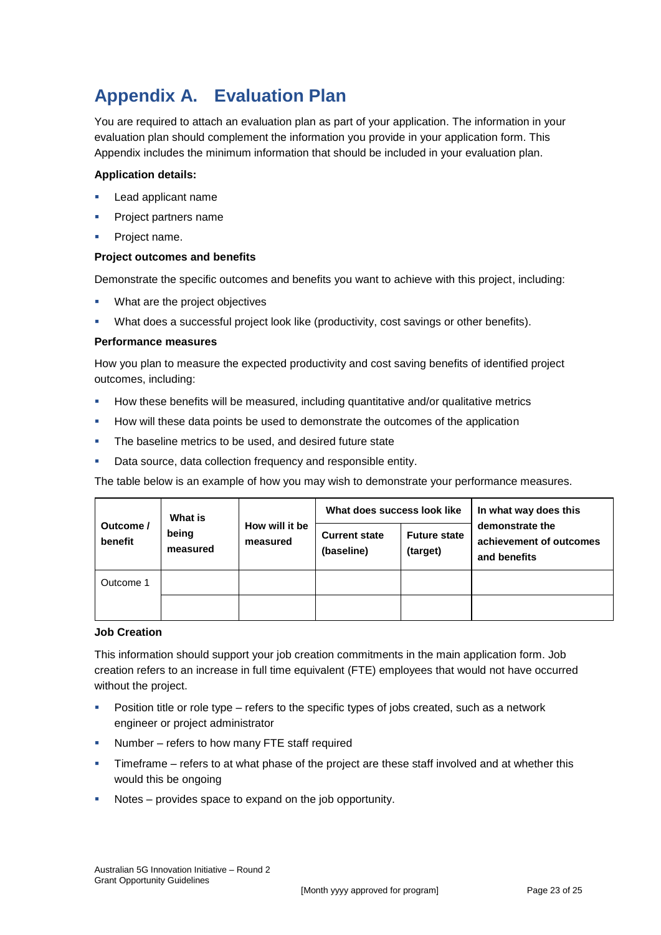# **Appendix A. Evaluation Plan**

You are required to attach an evaluation plan as part of your application. The information in your evaluation plan should complement the information you provide in your application form. This Appendix includes the minimum information that should be included in your evaluation plan.

#### **Application details:**

- Lead applicant name
- Project partners name
- Project name.

#### **Project outcomes and benefits**

Demonstrate the specific outcomes and benefits you want to achieve with this project, including:

- **What are the project objectives**
- What does a successful project look like (productivity, cost savings or other benefits).

#### **Performance measures**

How you plan to measure the expected productivity and cost saving benefits of identified project outcomes, including:

- How these benefits will be measured, including quantitative and/or qualitative metrics
- **How will these data points be used to demonstrate the outcomes of the application**
- **The baseline metrics to be used, and desired future state**
- Data source, data collection frequency and responsible entity.

The table below is an example of how you may wish to demonstrate your performance measures.

| Outcome /<br>benefit | <b>What is</b><br>being<br>measured | How will it be<br>measured | What does success look like        |                                 | In what way does this                                      |
|----------------------|-------------------------------------|----------------------------|------------------------------------|---------------------------------|------------------------------------------------------------|
|                      |                                     |                            | <b>Current state</b><br>(baseline) | <b>Future state</b><br>(target) | demonstrate the<br>achievement of outcomes<br>and benefits |
| Outcome 1            |                                     |                            |                                    |                                 |                                                            |
|                      |                                     |                            |                                    |                                 |                                                            |

#### **Job Creation**

This information should support your job creation commitments in the main application form. Job creation refers to an increase in full time equivalent (FTE) employees that would not have occurred without the project.

- Position title or role type refers to the specific types of jobs created, such as a network engineer or project administrator
- **Number** refers to how many FTE staff required
- Timeframe refers to at what phase of the project are these staff involved and at whether this would this be ongoing
- Notes provides space to expand on the job opportunity.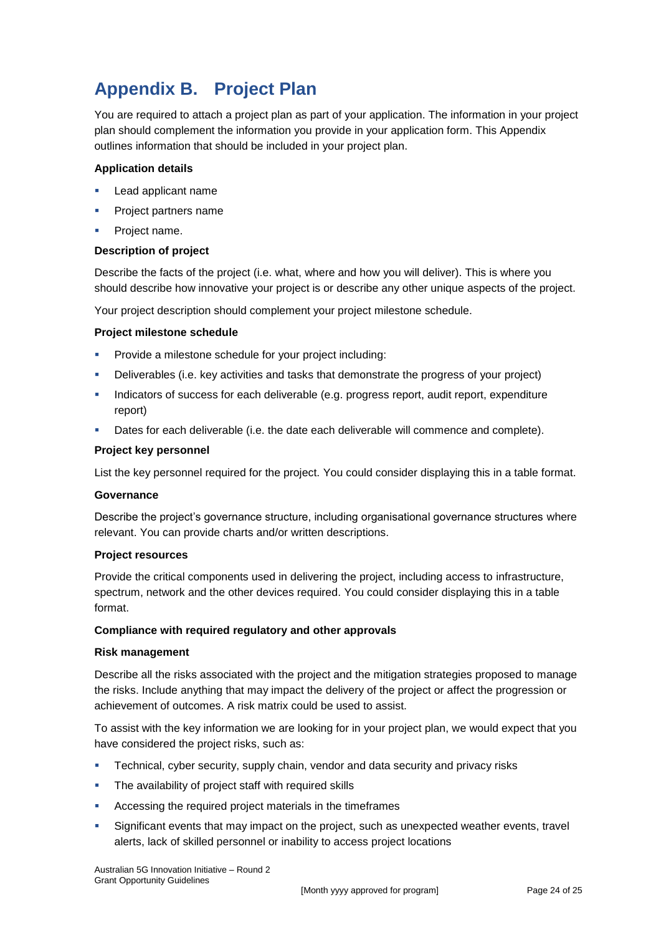# **Appendix B. Project Plan**

You are required to attach a project plan as part of your application. The information in your project plan should complement the information you provide in your application form. This Appendix outlines information that should be included in your project plan.

#### **Application details**

- Lead applicant name
- **Project partners name**
- Project name.

#### **Description of project**

Describe the facts of the project (i.e. what, where and how you will deliver). This is where you should describe how innovative your project is or describe any other unique aspects of the project.

Your project description should complement your project milestone schedule.

#### **Project milestone schedule**

- Provide a milestone schedule for your project including:
- Deliverables (i.e. key activities and tasks that demonstrate the progress of your project)
- Indicators of success for each deliverable (e.g. progress report, audit report, expenditure report)
- **Dates for each deliverable (i.e. the date each deliverable will commence and complete).**

#### **Project key personnel**

List the key personnel required for the project. You could consider displaying this in a table format.

#### **Governance**

Describe the project's governance structure, including organisational governance structures where relevant. You can provide charts and/or written descriptions.

#### **Project resources**

Provide the critical components used in delivering the project, including access to infrastructure, spectrum, network and the other devices required. You could consider displaying this in a table format.

#### **Compliance with required regulatory and other approvals**

#### **Risk management**

Describe all the risks associated with the project and the mitigation strategies proposed to manage the risks. Include anything that may impact the delivery of the project or affect the progression or achievement of outcomes. A risk matrix could be used to assist.

To assist with the key information we are looking for in your project plan, we would expect that you have considered the project risks, such as:

- Technical, cyber security, supply chain, vendor and data security and privacy risks
- The availability of project staff with required skills
- Accessing the required project materials in the timeframes
- Significant events that may impact on the project, such as unexpected weather events, travel alerts, lack of skilled personnel or inability to access project locations